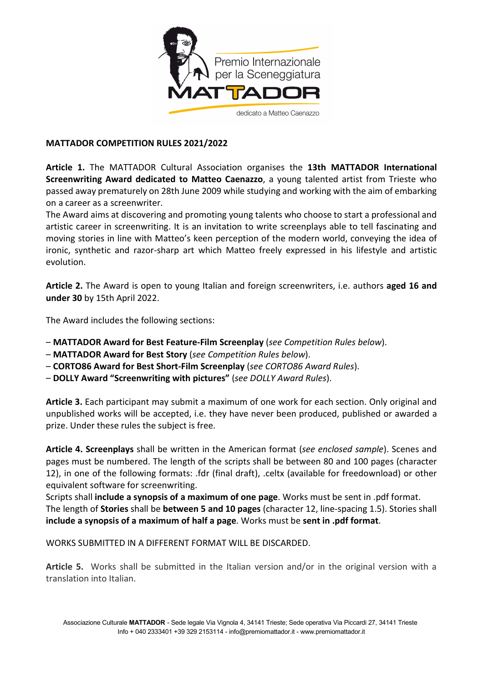

## MATTADOR COMPETITION RULES 2021/2022

Article 1. The MATTADOR Cultural Association organises the 13th MATTADOR International Screenwriting Award dedicated to Matteo Caenazzo, a young talented artist from Trieste who passed away prematurely on 28th June 2009 while studying and working with the aim of embarking on a career as a screenwriter.

The Award aims at discovering and promoting young talents who choose to start a professional and artistic career in screenwriting. It is an invitation to write screenplays able to tell fascinating and moving stories in line with Matteo's keen perception of the modern world, conveying the idea of ironic, synthetic and razor-sharp art which Matteo freely expressed in his lifestyle and artistic evolution.

Article 2. The Award is open to young Italian and foreign screenwriters, i.e. authors aged 16 and under 30 by 15th April 2022.

The Award includes the following sections:

- MATTADOR Award for Best Feature-Film Screenplay (see Competition Rules below).
- MATTADOR Award for Best Story (see Competition Rules below).
- CORTO86 Award for Best Short-Film Screenplay (see CORTO86 Award Rules).
- DOLLY Award "Screenwriting with pictures" (see DOLLY Award Rules).

Article 3. Each participant may submit a maximum of one work for each section. Only original and unpublished works will be accepted, i.e. they have never been produced, published or awarded a prize. Under these rules the subject is free.

Article 4. Screenplays shall be written in the American format (see enclosed sample). Scenes and pages must be numbered. The length of the scripts shall be between 80 and 100 pages (character 12), in one of the following formats: .fdr (final draft), .celtx (available for freedownload) or other equivalent software for screenwriting.

Scripts shall include a synopsis of a maximum of one page. Works must be sent in .pdf format. The length of Stories shall be between 5 and 10 pages (character 12, line-spacing 1.5). Stories shall include a synopsis of a maximum of half a page. Works must be sent in .pdf format.

WORKS SUBMITTED IN A DIFFERENT FORMAT WILL BE DISCARDED.

Article 5. Works shall be submitted in the Italian version and/or in the original version with a translation into Italian.